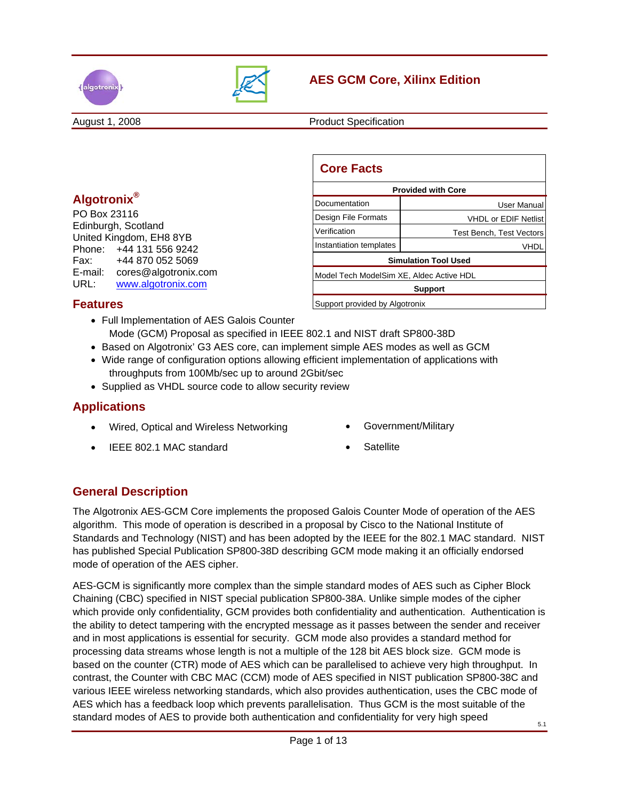



# **AES GCM Core, Xilinx Edition**

August 1, 2008 **Product Specification** 

## **Algotronix®**

PO Box 23116 Edinburgh, Scotland United Kingdom, EH8 8YB Phone: +44 131 556 9242 Fax: +44 870 052 5069 E-mail: cores@algotronix.com URL: www.algotronix.com

| <b>Core Facts</b>                        |                                 |  |  |  |
|------------------------------------------|---------------------------------|--|--|--|
| <b>Provided with Core</b>                |                                 |  |  |  |
| l Documentation                          | User Manual                     |  |  |  |
| Design File Formats                      | <b>VHDL or EDIF Netlist</b>     |  |  |  |
| Verification                             | <b>Test Bench, Test Vectors</b> |  |  |  |
| Instantiation templates                  | VHDI                            |  |  |  |
| <b>Simulation Tool Used</b>              |                                 |  |  |  |
| Model Tech ModelSim XE, Aldec Active HDL |                                 |  |  |  |
| <b>Support</b>                           |                                 |  |  |  |
| Support provided by Algotronix           |                                 |  |  |  |

## **Features**

- Full Implementation of AES Galois Counter
- Mode (GCM) Proposal as specified in IEEE 802.1 and NIST draft SP800-38D
- Based on Algotronix' G3 AES core, can implement simple AES modes as well as GCM
- Wide range of configuration options allowing efficient implementation of applications with throughputs from 100Mb/sec up to around 2Gbit/sec
- Supplied as VHDL source code to allow security review

## **Applications**

- Wired, Optical and Wireless Networking
- IEEE 802.1 MAC standard
- Government/Military
- **Satellite**

## **General Description**

The Algotronix AES-GCM Core implements the proposed Galois Counter Mode of operation of the AES algorithm. This mode of operation is described in a proposal by Cisco to the National Institute of Standards and Technology (NIST) and has been adopted by the IEEE for the 802.1 MAC standard. NIST has published Special Publication SP800-38D describing GCM mode making it an officially endorsed mode of operation of the AES cipher.

AES-GCM is significantly more complex than the simple standard modes of AES such as Cipher Block Chaining (CBC) specified in NIST special publication SP800-38A. Unlike simple modes of the cipher which provide only confidentiality, GCM provides both confidentiality and authentication. Authentication is the ability to detect tampering with the encrypted message as it passes between the sender and receiver and in most applications is essential for security. GCM mode also provides a standard method for processing data streams whose length is not a multiple of the 128 bit AES block size. GCM mode is based on the counter (CTR) mode of AES which can be parallelised to achieve very high throughput. In contrast, the Counter with CBC MAC (CCM) mode of AES specified in NIST publication SP800-38C and various IEEE wireless networking standards, which also provides authentication, uses the CBC mode of AES which has a feedback loop which prevents parallelisation. Thus GCM is the most suitable of the standard modes of AES to provide both authentication and confidentiality for very high speed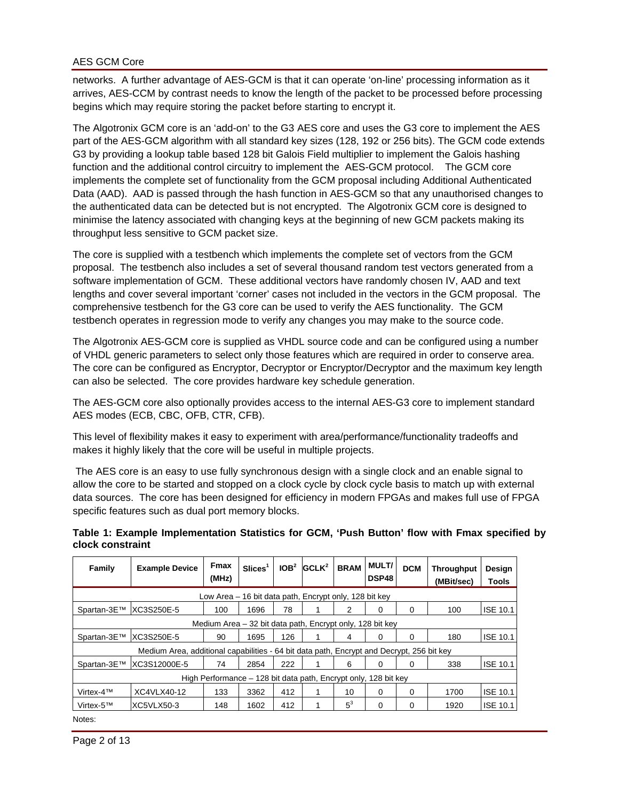networks. A further advantage of AES-GCM is that it can operate 'on-line' processing information as it arrives, AES-CCM by contrast needs to know the length of the packet to be processed before processing begins which may require storing the packet before starting to encrypt it.

The Algotronix GCM core is an 'add-on' to the G3 AES core and uses the G3 core to implement the AES part of the AES-GCM algorithm with all standard key sizes (128, 192 or 256 bits). The GCM code extends G3 by providing a lookup table based 128 bit Galois Field multiplier to implement the Galois hashing function and the additional control circuitry to implement the AES-GCM protocol. The GCM core implements the complete set of functionality from the GCM proposal including Additional Authenticated Data (AAD). AAD is passed through the hash function in AES-GCM so that any unauthorised changes to the authenticated data can be detected but is not encrypted. The Algotronix GCM core is designed to minimise the latency associated with changing keys at the beginning of new GCM packets making its throughput less sensitive to GCM packet size.

The core is supplied with a testbench which implements the complete set of vectors from the GCM proposal. The testbench also includes a set of several thousand random test vectors generated from a software implementation of GCM. These additional vectors have randomly chosen IV, AAD and text lengths and cover several important 'corner' cases not included in the vectors in the GCM proposal. The comprehensive testbench for the G3 core can be used to verify the AES functionality. The GCM testbench operates in regression mode to verify any changes you may make to the source code.

The Algotronix AES-GCM core is supplied as VHDL source code and can be configured using a number of VHDL generic parameters to select only those features which are required in order to conserve area. The core can be configured as Encryptor, Decryptor or Encryptor/Decryptor and the maximum key length can also be selected. The core provides hardware key schedule generation.

The AES-GCM core also optionally provides access to the internal AES-G3 core to implement standard AES modes (ECB, CBC, OFB, CTR, CFB).

This level of flexibility makes it easy to experiment with area/performance/functionality tradeoffs and makes it highly likely that the core will be useful in multiple projects.

 The AES core is an easy to use fully synchronous design with a single clock and an enable signal to allow the core to be started and stopped on a clock cycle by clock cycle basis to match up with external data sources. The core has been designed for efficiency in modern FPGAs and makes full use of FPGA specific features such as dual port memory blocks.

| Family                                                                                    | <b>Example Device</b> | Fmax<br>(MHz) | Slices <sup>1</sup> | IOB <sup>2</sup> | GCLK <sup>2</sup> | <b>BRAM</b> | <b>MULT/</b><br>DSP48 | <b>DCM</b> | <b>Throughput</b><br>(MBit/sec) | Design<br>Tools |
|-------------------------------------------------------------------------------------------|-----------------------|---------------|---------------------|------------------|-------------------|-------------|-----------------------|------------|---------------------------------|-----------------|
| Low Area – 16 bit data path, Encrypt only, 128 bit key                                    |                       |               |                     |                  |                   |             |                       |            |                                 |                 |
| Spartan-3E™                                                                               | XC3S250E-5            | 100           | 1696                | 78               |                   | 2           | 0                     | 0          | 100                             | <b>ISE 10.1</b> |
| Medium Area – 32 bit data path, Encrypt only, 128 bit key                                 |                       |               |                     |                  |                   |             |                       |            |                                 |                 |
| Spartan-3E™                                                                               | XC3S250E-5            | 90            | 1695                | 126              |                   | 4           | 0                     | 0          | 180                             | <b>ISE 10.1</b> |
| Medium Area, additional capabilities - 64 bit data path, Encrypt and Decrypt, 256 bit key |                       |               |                     |                  |                   |             |                       |            |                                 |                 |
| Spartan-3E™                                                                               | IXC3S12000E-5         | 74            | 2854                | 222              |                   | 6           | 0                     | 0          | 338                             | <b>ISE 10.1</b> |
| High Performance – 128 bit data path, Encrypt only, 128 bit key                           |                       |               |                     |                  |                   |             |                       |            |                                 |                 |
| Virtex- $4TM$                                                                             | XC4VLX40-12           | 133           | 3362                | 412              |                   | 10          | 0                     | 0          | 1700                            | <b>ISE 10.1</b> |
| Virtex-5™                                                                                 | XC5VLX50-3            | 148           | 1602                | 412              |                   | $5^3$       | 0                     | 0          | 1920                            | <b>ISE 10.1</b> |
| Notor:                                                                                    |                       |               |                     |                  |                   |             |                       |            |                                 |                 |

#### **Table 1: Example Implementation Statistics for GCM, 'Push Button' flow with Fmax specified by clock constraint**

Notes: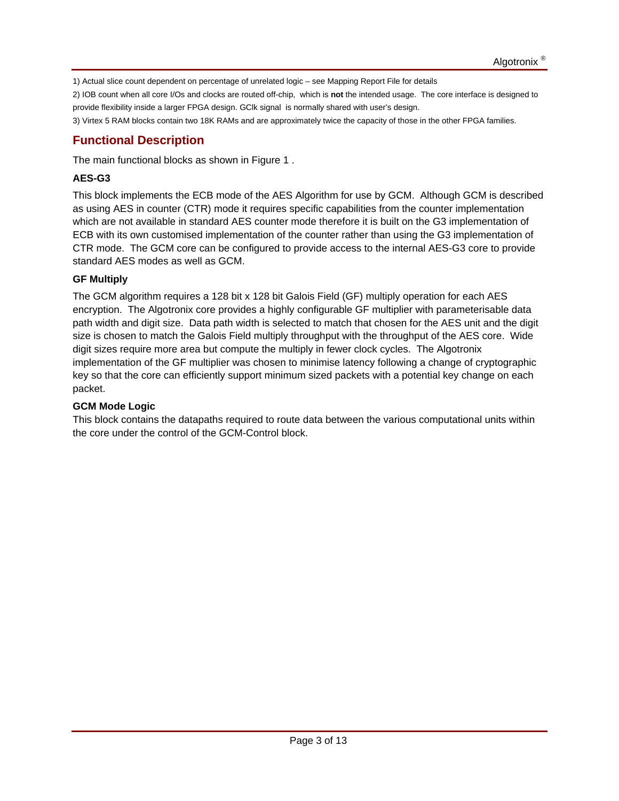1) Actual slice count dependent on percentage of unrelated logic – see Mapping Report File for details

2) IOB count when all core I/Os and clocks are routed off-chip, which is **not** the intended usage. The core interface is designed to provide flexibility inside a larger FPGA design. GClk signal is normally shared with user's design.

3) Virtex 5 RAM blocks contain two 18K RAMs and are approximately twice the capacity of those in the other FPGA families.

## **Functional Description**

The main functional blocks as shown in Figure 1 .

### **AES-G3**

This block implements the ECB mode of the AES Algorithm for use by GCM. Although GCM is described as using AES in counter (CTR) mode it requires specific capabilities from the counter implementation which are not available in standard AES counter mode therefore it is built on the G3 implementation of ECB with its own customised implementation of the counter rather than using the G3 implementation of CTR mode. The GCM core can be configured to provide access to the internal AES-G3 core to provide standard AES modes as well as GCM.

### **GF Multiply**

The GCM algorithm requires a 128 bit x 128 bit Galois Field (GF) multiply operation for each AES encryption. The Algotronix core provides a highly configurable GF multiplier with parameterisable data path width and digit size. Data path width is selected to match that chosen for the AES unit and the digit size is chosen to match the Galois Field multiply throughput with the throughput of the AES core. Wide digit sizes require more area but compute the multiply in fewer clock cycles. The Algotronix implementation of the GF multiplier was chosen to minimise latency following a change of cryptographic key so that the core can efficiently support minimum sized packets with a potential key change on each packet.

### **GCM Mode Logic**

This block contains the datapaths required to route data between the various computational units within the core under the control of the GCM-Control block.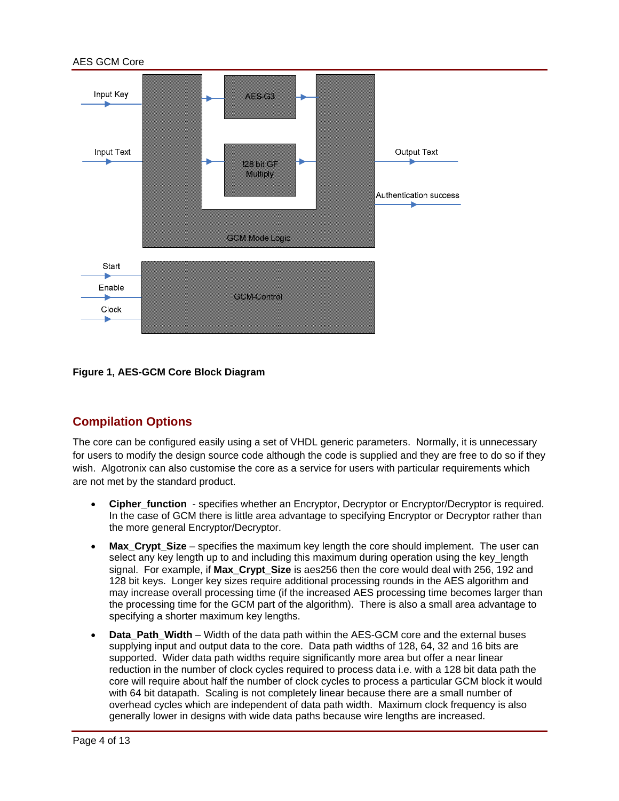

#### **Figure 1, AES-GCM Core Block Diagram**

## **Compilation Options**

The core can be configured easily using a set of VHDL generic parameters. Normally, it is unnecessary for users to modify the design source code although the code is supplied and they are free to do so if they wish. Algotronix can also customise the core as a service for users with particular requirements which are not met by the standard product.

- **Cipher function** specifies whether an Encryptor, Decryptor or Encryptor/Decryptor is required. In the case of GCM there is little area advantage to specifying Encryptor or Decryptor rather than the more general Encryptor/Decryptor.
- **Max\_Crypt\_Size** specifies the maximum key length the core should implement. The user can select any key length up to and including this maximum during operation using the key\_length signal. For example, if **Max\_Crypt\_Size** is aes256 then the core would deal with 256, 192 and 128 bit keys. Longer key sizes require additional processing rounds in the AES algorithm and may increase overall processing time (if the increased AES processing time becomes larger than the processing time for the GCM part of the algorithm). There is also a small area advantage to specifying a shorter maximum key lengths.
- **Data\_Path\_Width**  Width of the data path within the AES-GCM core and the external buses supplying input and output data to the core. Data path widths of 128, 64, 32 and 16 bits are supported. Wider data path widths require significantly more area but offer a near linear reduction in the number of clock cycles required to process data i.e. with a 128 bit data path the core will require about half the number of clock cycles to process a particular GCM block it would with 64 bit datapath. Scaling is not completely linear because there are a small number of overhead cycles which are independent of data path width. Maximum clock frequency is also generally lower in designs with wide data paths because wire lengths are increased.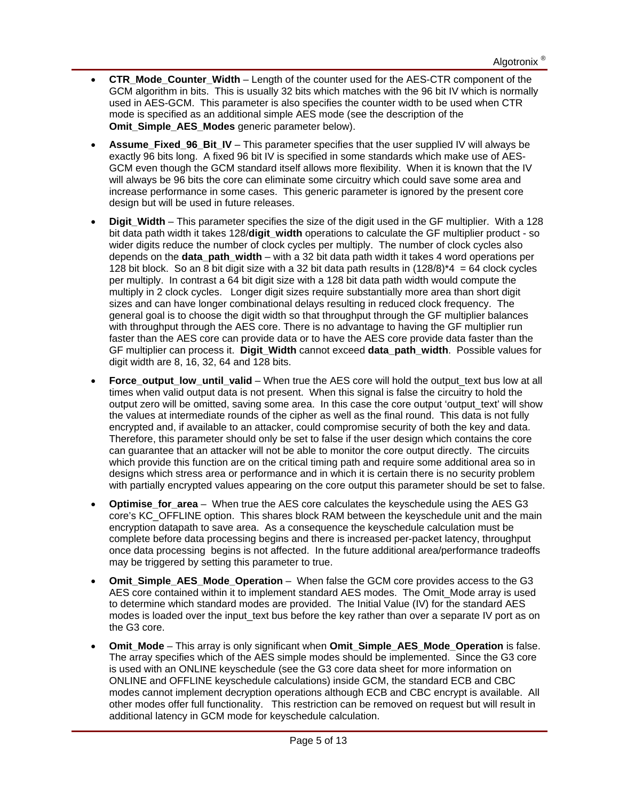- **CTR\_Mode\_Counter\_Width**  Length of the counter used for the AES-CTR component of the GCM algorithm in bits. This is usually 32 bits which matches with the 96 bit IV which is normally used in AES-GCM. This parameter is also specifies the counter width to be used when CTR mode is specified as an additional simple AES mode (see the description of the **Omit Simple AES Modes** generic parameter below).
- **Assume\_Fixed\_96\_Bit\_IV**  This parameter specifies that the user supplied IV will always be exactly 96 bits long. A fixed 96 bit IV is specified in some standards which make use of AES-GCM even though the GCM standard itself allows more flexibility. When it is known that the IV will always be 96 bits the core can eliminate some circuitry which could save some area and increase performance in some cases. This generic parameter is ignored by the present core design but will be used in future releases.
- **Digit Width This parameter specifies the size of the digit used in the GF multiplier. With a 128** bit data path width it takes 128/**digit\_width** operations to calculate the GF multiplier product - so wider digits reduce the number of clock cycles per multiply. The number of clock cycles also depends on the **data\_path\_width** – with a 32 bit data path width it takes 4 word operations per 128 bit block. So an 8 bit digit size with a 32 bit data path results in  $(128/8)^*$ 4 = 64 clock cycles per multiply. In contrast a 64 bit digit size with a 128 bit data path width would compute the multiply in 2 clock cycles. Longer digit sizes require substantially more area than short digit sizes and can have longer combinational delays resulting in reduced clock frequency. The general goal is to choose the digit width so that throughput through the GF multiplier balances with throughput through the AES core. There is no advantage to having the GF multiplier run faster than the AES core can provide data or to have the AES core provide data faster than the GF multiplier can process it. **Digit\_Width** cannot exceed **data\_path\_width**. Possible values for digit width are 8, 16, 32, 64 and 128 bits.
- **Force output low until valid** When true the AES core will hold the output text bus low at all times when valid output data is not present. When this signal is false the circuitry to hold the output zero will be omitted, saving some area. In this case the core output 'output text' will show the values at intermediate rounds of the cipher as well as the final round. This data is not fully encrypted and, if available to an attacker, could compromise security of both the key and data. Therefore, this parameter should only be set to false if the user design which contains the core can guarantee that an attacker will not be able to monitor the core output directly. The circuits which provide this function are on the critical timing path and require some additional area so in designs which stress area or performance and in which it is certain there is no security problem with partially encrypted values appearing on the core output this parameter should be set to false.
- **Optimise for area** When true the AES core calculates the keyschedule using the AES G3 core's KC\_OFFLINE option. This shares block RAM between the keyschedule unit and the main encryption datapath to save area. As a consequence the keyschedule calculation must be complete before data processing begins and there is increased per-packet latency, throughput once data processing begins is not affected. In the future additional area/performance tradeoffs may be triggered by setting this parameter to true.
- **Omit Simple AES Mode Operation** When false the GCM core provides access to the G3 AES core contained within it to implement standard AES modes. The Omit Mode array is used to determine which standard modes are provided. The Initial Value (IV) for the standard AES modes is loaded over the input\_text bus before the key rather than over a separate IV port as on the G3 core.
- **Omit Mode This array is only significant when <b>Omit Simple AES Mode Operation** is false. The array specifies which of the AES simple modes should be implemented. Since the G3 core is used with an ONLINE keyschedule (see the G3 core data sheet for more information on ONLINE and OFFLINE keyschedule calculations) inside GCM, the standard ECB and CBC modes cannot implement decryption operations although ECB and CBC encrypt is available. All other modes offer full functionality. This restriction can be removed on request but will result in additional latency in GCM mode for keyschedule calculation.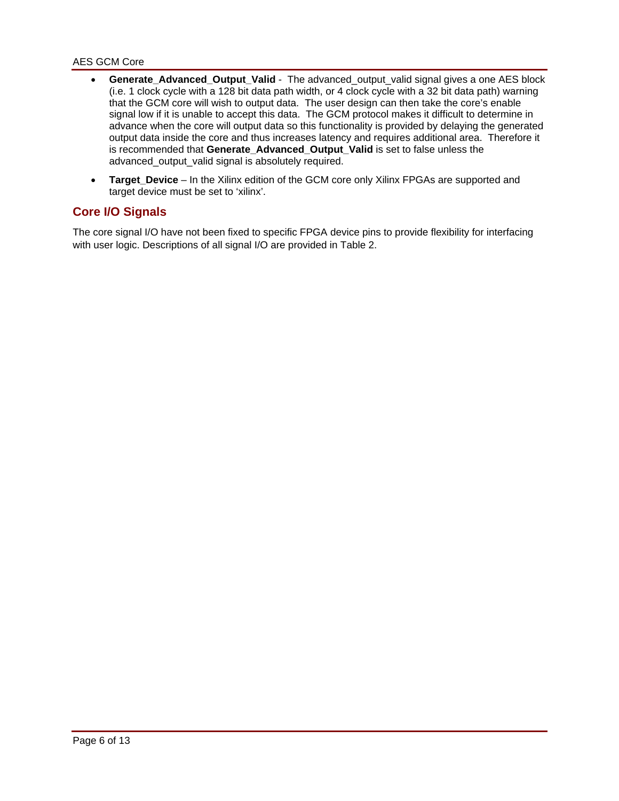- **Generate Advanced Output Valid** The advanced output valid signal gives a one AES block (i.e. 1 clock cycle with a 128 bit data path width, or 4 clock cycle with a 32 bit data path) warning that the GCM core will wish to output data. The user design can then take the core's enable signal low if it is unable to accept this data. The GCM protocol makes it difficult to determine in advance when the core will output data so this functionality is provided by delaying the generated output data inside the core and thus increases latency and requires additional area. Therefore it is recommended that **Generate\_Advanced\_Output\_Valid** is set to false unless the advanced\_output\_valid signal is absolutely required.
- **Target\_Device** In the Xilinx edition of the GCM core only Xilinx FPGAs are supported and target device must be set to 'xilinx'.

### **Core I/O Signals**

The core signal I/O have not been fixed to specific FPGA device pins to provide flexibility for interfacing with user logic. Descriptions of all signal I/O are provided in Table 2.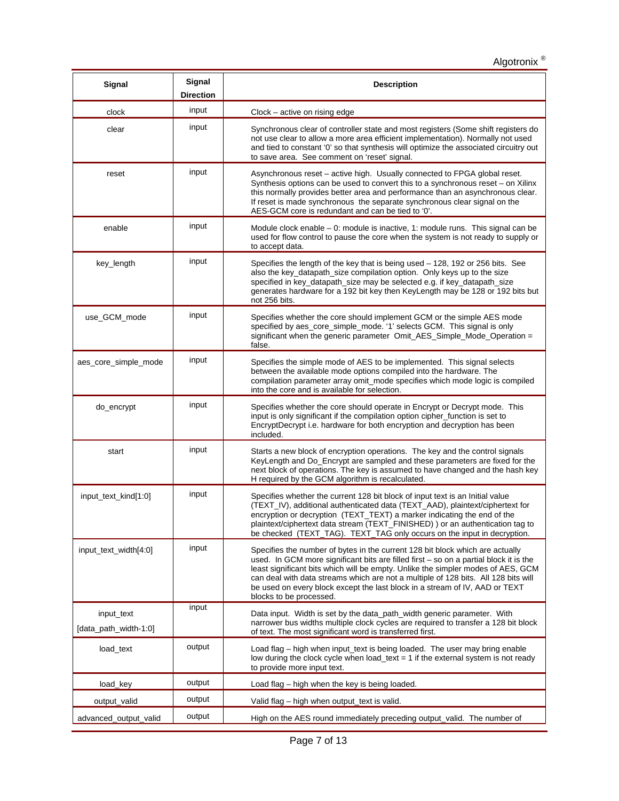| Signal                              | Signal<br><b>Direction</b> | <b>Description</b>                                                                                                                                                                                                                                                                                                                                                                                                                                           |  |
|-------------------------------------|----------------------------|--------------------------------------------------------------------------------------------------------------------------------------------------------------------------------------------------------------------------------------------------------------------------------------------------------------------------------------------------------------------------------------------------------------------------------------------------------------|--|
| clock                               | input                      | Clock – active on rising edge                                                                                                                                                                                                                                                                                                                                                                                                                                |  |
| clear                               | input                      | Synchronous clear of controller state and most registers (Some shift registers do<br>not use clear to allow a more area efficient implementation). Normally not used<br>and tied to constant '0' so that synthesis will optimize the associated circuitry out<br>to save area. See comment on 'reset' signal.                                                                                                                                                |  |
| reset                               | input                      | Asynchronous reset - active high. Usually connected to FPGA global reset.<br>Synthesis options can be used to convert this to a synchronous reset - on Xilinx<br>this normally provides better area and performance than an asynchronous clear.<br>If reset is made synchronous the separate synchronous clear signal on the<br>AES-GCM core is redundant and can be tied to '0'.                                                                            |  |
| enable                              | input                      | Module clock enable $-0$ : module is inactive, 1: module runs. This signal can be<br>used for flow control to pause the core when the system is not ready to supply or<br>to accept data.                                                                                                                                                                                                                                                                    |  |
| key_length                          | input                      | Specifies the length of the key that is being used - 128, 192 or 256 bits. See<br>also the key_datapath_size compilation option. Only keys up to the size<br>specified in key_datapath_size may be selected e.g. if key_datapath_size<br>generates hardware for a 192 bit key then KeyLength may be 128 or 192 bits but<br>not 256 bits.                                                                                                                     |  |
| use GCM mode                        | input                      | Specifies whether the core should implement GCM or the simple AES mode<br>specified by aes_core_simple_mode. '1' selects GCM. This signal is only<br>significant when the generic parameter Omit_AES_Simple_Mode_Operation =<br>false.                                                                                                                                                                                                                       |  |
| aes_core_simple_mode                | input                      | Specifies the simple mode of AES to be implemented. This signal selects<br>between the available mode options compiled into the hardware. The<br>compilation parameter array omit_mode specifies which mode logic is compiled<br>into the core and is available for selection.                                                                                                                                                                               |  |
| do_encrypt                          | input                      | Specifies whether the core should operate in Encrypt or Decrypt mode. This<br>input is only significant if the compilation option cipher_function is set to<br>EncryptDecrypt i.e. hardware for both encryption and decryption has been<br>included.                                                                                                                                                                                                         |  |
| start                               | input                      | Starts a new block of encryption operations. The key and the control signals<br>KeyLength and Do_Encrypt are sampled and these parameters are fixed for the<br>next block of operations. The key is assumed to have changed and the hash key<br>H required by the GCM algorithm is recalculated.                                                                                                                                                             |  |
| input_text_kind[1:0]                | input                      | Specifies whether the current 128 bit block of input text is an Initial value<br>(TEXT_IV), additional authenticated data (TEXT_AAD), plaintext/ciphertext for<br>encryption or decryption (TEXT_TEXT) a marker indicating the end of the<br>plaintext/ciphertext data stream (TEXT_FINISHED)) or an authentication tag to<br>be checked (TEXT_TAG). TEXT_TAG only occurs on the input in decryption.                                                        |  |
| input_text_width[4:0]               | input                      | Specifies the number of bytes in the current 128 bit block which are actually<br>used. In GCM more significant bits are filled first $-$ so on a partial block it is the<br>least significant bits which will be empty. Unlike the simpler modes of AES, GCM<br>can deal with data streams which are not a multiple of 128 bits. All 128 bits will<br>be used on every block except the last block in a stream of IV, AAD or TEXT<br>blocks to be processed. |  |
| input_text<br>[data_path_width-1:0] | input                      | Data input. Width is set by the data_path_width generic parameter. With<br>narrower bus widths multiple clock cycles are required to transfer a 128 bit block<br>of text. The most significant word is transferred first.                                                                                                                                                                                                                                    |  |
| load_text                           | output                     | Load flag – high when input_text is being loaded. The user may bring enable<br>low during the clock cycle when load_text = 1 if the external system is not ready<br>to provide more input text.                                                                                                                                                                                                                                                              |  |
| load_key                            | output                     | Load flag – high when the key is being loaded.                                                                                                                                                                                                                                                                                                                                                                                                               |  |
| output_valid                        | output                     | Valid flag – high when output_text is valid.                                                                                                                                                                                                                                                                                                                                                                                                                 |  |
| advanced_output_valid               | output                     | High on the AES round immediately preceding output_valid. The number of                                                                                                                                                                                                                                                                                                                                                                                      |  |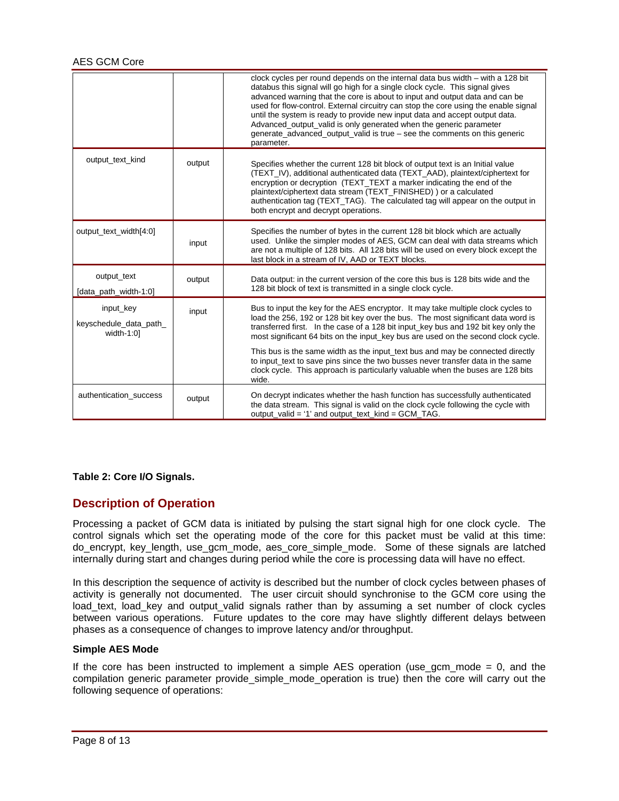|                                                       |        | clock cycles per round depends on the internal data bus width - with a 128 bit<br>databus this signal will go high for a single clock cycle. This signal gives<br>advanced warning that the core is about to input and output data and can be<br>used for flow-control. External circuitry can stop the core using the enable signal<br>until the system is ready to provide new input data and accept output data.<br>Advanced_output_valid is only generated when the generic parameter<br>generate advanced output valid is true - see the comments on this generic<br>parameter. |
|-------------------------------------------------------|--------|--------------------------------------------------------------------------------------------------------------------------------------------------------------------------------------------------------------------------------------------------------------------------------------------------------------------------------------------------------------------------------------------------------------------------------------------------------------------------------------------------------------------------------------------------------------------------------------|
| output_text_kind                                      | output | Specifies whether the current 128 bit block of output text is an Initial value<br>(TEXT_IV), additional authenticated data (TEXT_AAD), plaintext/ciphertext for<br>encryption or decryption (TEXT_TEXT a marker indicating the end of the<br>plaintext/ciphertext data stream (TEXT_FINISHED)) or a calculated<br>authentication tag (TEXT_TAG). The calculated tag will appear on the output in<br>both encrypt and decrypt operations.                                                                                                                                             |
| output_text_width[4:0]                                | input  | Specifies the number of bytes in the current 128 bit block which are actually<br>used. Unlike the simpler modes of AES, GCM can deal with data streams which<br>are not a multiple of 128 bits. All 128 bits will be used on every block except the<br>last block in a stream of IV, AAD or TEXT blocks.                                                                                                                                                                                                                                                                             |
| output_text<br>[data_path_width-1:0]                  | output | Data output: in the current version of the core this bus is 128 bits wide and the<br>128 bit block of text is transmitted in a single clock cycle.                                                                                                                                                                                                                                                                                                                                                                                                                                   |
| input_key<br>keyschedule_data_path_<br>width- $1:0$ ] | input  | Bus to input the key for the AES encryptor. It may take multiple clock cycles to<br>load the 256, 192 or 128 bit key over the bus. The most significant data word is<br>transferred first. In the case of a 128 bit input key bus and 192 bit key only the<br>most significant 64 bits on the input_key bus are used on the second clock cycle.                                                                                                                                                                                                                                      |
|                                                       |        | This bus is the same width as the input_text bus and may be connected directly<br>to input_text to save pins since the two busses never transfer data in the same<br>clock cycle. This approach is particularly valuable when the buses are 128 bits<br>wide.                                                                                                                                                                                                                                                                                                                        |
| authentication_success                                | output | On decrypt indicates whether the hash function has successfully authenticated<br>the data stream. This signal is valid on the clock cycle following the cycle with<br>output_valid = '1' and output_text_kind = GCM_TAG.                                                                                                                                                                                                                                                                                                                                                             |

#### **Table 2: Core I/O Signals.**

## **Description of Operation**

Processing a packet of GCM data is initiated by pulsing the start signal high for one clock cycle. The control signals which set the operating mode of the core for this packet must be valid at this time: do\_encrypt, key\_length, use\_gcm\_mode, aes\_core\_simple\_mode. Some of these signals are latched internally during start and changes during period while the core is processing data will have no effect.

In this description the sequence of activity is described but the number of clock cycles between phases of activity is generally not documented. The user circuit should synchronise to the GCM core using the load\_text, load\_key and output\_valid signals rather than by assuming a set number of clock cycles between various operations. Future updates to the core may have slightly different delays between phases as a consequence of changes to improve latency and/or throughput.

#### **Simple AES Mode**

If the core has been instructed to implement a simple AES operation (use gcm mode  $= 0$ , and the compilation generic parameter provide\_simple\_mode\_operation is true) then the core will carry out the following sequence of operations: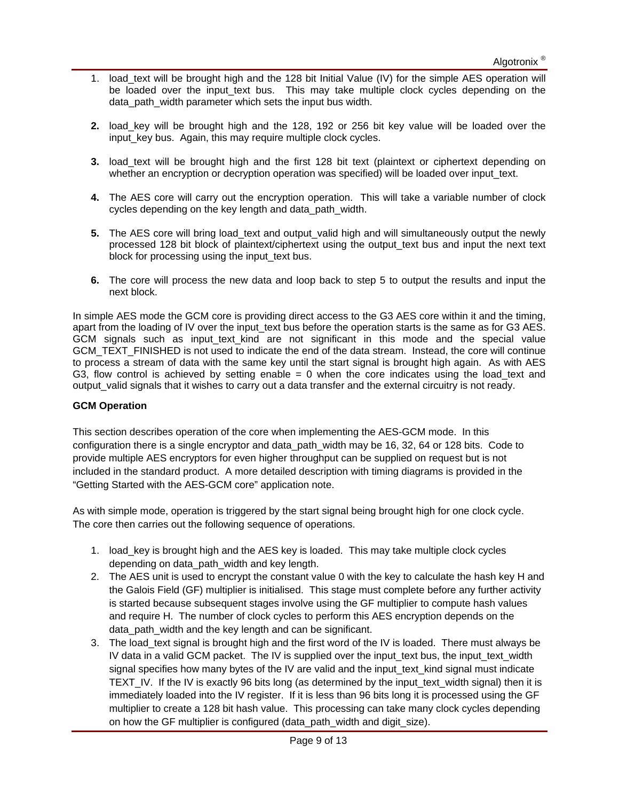- 1. load\_text will be brought high and the 128 bit Initial Value (IV) for the simple AES operation will be loaded over the input text bus. This may take multiple clock cycles depending on the data path width parameter which sets the input bus width.
- **2.** load key will be brought high and the 128, 192 or 256 bit key value will be loaded over the input\_key bus. Again, this may require multiple clock cycles.
- **3.** load\_text will be brought high and the first 128 bit text (plaintext or ciphertext depending on whether an encryption or decryption operation was specified) will be loaded over input text.
- **4.** The AES core will carry out the encryption operation. This will take a variable number of clock cycles depending on the key length and data path width.
- **5.** The AES core will bring load text and output valid high and will simultaneously output the newly processed 128 bit block of plaintext/ciphertext using the output\_text bus and input the next text block for processing using the input\_text bus.
- **6.** The core will process the new data and loop back to step 5 to output the results and input the next block.

In simple AES mode the GCM core is providing direct access to the G3 AES core within it and the timing, apart from the loading of IV over the input\_text bus before the operation starts is the same as for G3 AES. GCM signals such as input text kind are not significant in this mode and the special value GCM\_TEXT\_FINISHED is not used to indicate the end of the data stream. Instead, the core will continue to process a stream of data with the same key until the start signal is brought high again. As with AES G3, flow control is achieved by setting enable  $= 0$  when the core indicates using the load text and output valid signals that it wishes to carry out a data transfer and the external circuitry is not ready.

#### **GCM Operation**

This section describes operation of the core when implementing the AES-GCM mode. In this configuration there is a single encryptor and data\_path\_width may be 16, 32, 64 or 128 bits. Code to provide multiple AES encryptors for even higher throughput can be supplied on request but is not included in the standard product. A more detailed description with timing diagrams is provided in the "Getting Started with the AES-GCM core" application note.

As with simple mode, operation is triggered by the start signal being brought high for one clock cycle. The core then carries out the following sequence of operations.

- 1. load\_key is brought high and the AES key is loaded. This may take multiple clock cycles depending on data path width and key length.
- 2. The AES unit is used to encrypt the constant value 0 with the key to calculate the hash key H and the Galois Field (GF) multiplier is initialised. This stage must complete before any further activity is started because subsequent stages involve using the GF multiplier to compute hash values and require H. The number of clock cycles to perform this AES encryption depends on the data\_path\_width and the key length and can be significant.
- 3. The load text signal is brought high and the first word of the IV is loaded. There must always be IV data in a valid GCM packet. The IV is supplied over the input\_text bus, the input\_text\_width signal specifies how many bytes of the IV are valid and the input\_text\_kind signal must indicate TEXT IV. If the IV is exactly 96 bits long (as determined by the input text width signal) then it is immediately loaded into the IV register. If it is less than 96 bits long it is processed using the GF multiplier to create a 128 bit hash value. This processing can take many clock cycles depending on how the GF multiplier is configured (data\_path\_width and digit\_size).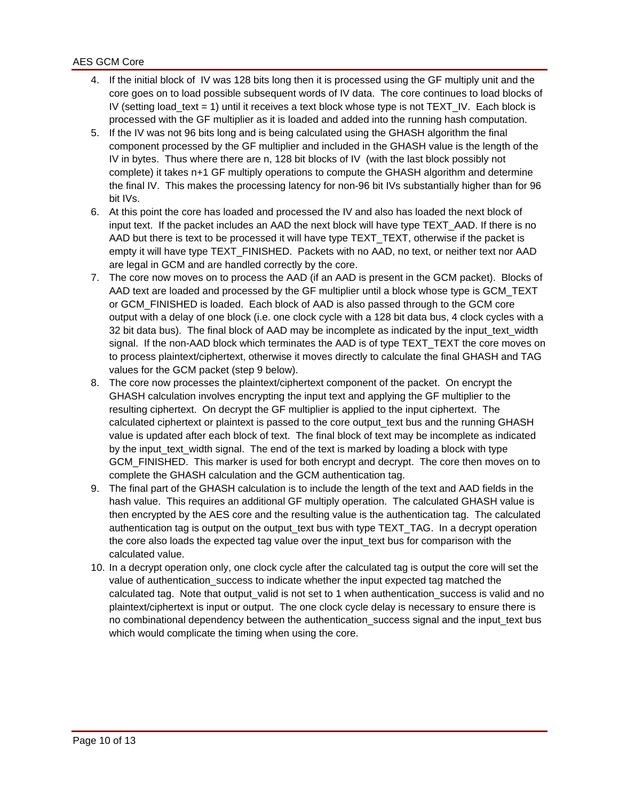- 4. If the initial block of IV was 128 bits long then it is processed using the GF multiply unit and the core goes on to load possible subsequent words of IV data. The core continues to load blocks of IV (setting load text = 1) until it receives a text block whose type is not TEXT IV. Each block is processed with the GF multiplier as it is loaded and added into the running hash computation.
- 5. If the IV was not 96 bits long and is being calculated using the GHASH algorithm the final component processed by the GF multiplier and included in the GHASH value is the length of the IV in bytes. Thus where there are n, 128 bit blocks of IV (with the last block possibly not complete) it takes n+1 GF multiply operations to compute the GHASH algorithm and determine the final IV. This makes the processing latency for non-96 bit IVs substantially higher than for 96 bit IVs.
- 6. At this point the core has loaded and processed the IV and also has loaded the next block of input text. If the packet includes an AAD the next block will have type TEXT\_AAD. If there is no AAD but there is text to be processed it will have type TEXT\_TEXT, otherwise if the packet is empty it will have type TEXT\_FINISHED. Packets with no AAD, no text, or neither text nor AAD are legal in GCM and are handled correctly by the core.
- 7. The core now moves on to process the AAD (if an AAD is present in the GCM packet). Blocks of AAD text are loaded and processed by the GF multiplier until a block whose type is GCM\_TEXT or GCM\_FINISHED is loaded. Each block of AAD is also passed through to the GCM core output with a delay of one block (i.e. one clock cycle with a 128 bit data bus, 4 clock cycles with a 32 bit data bus). The final block of AAD may be incomplete as indicated by the input text width signal. If the non-AAD block which terminates the AAD is of type TEXT\_TEXT the core moves on to process plaintext/ciphertext, otherwise it moves directly to calculate the final GHASH and TAG values for the GCM packet (step 9 below).
- 8. The core now processes the plaintext/ciphertext component of the packet. On encrypt the GHASH calculation involves encrypting the input text and applying the GF multiplier to the resulting ciphertext. On decrypt the GF multiplier is applied to the input ciphertext. The calculated ciphertext or plaintext is passed to the core output\_text bus and the running GHASH value is updated after each block of text. The final block of text may be incomplete as indicated by the input\_text\_width signal. The end of the text is marked by loading a block with type GCM FINISHED. This marker is used for both encrypt and decrypt. The core then moves on to complete the GHASH calculation and the GCM authentication tag.
- 9. The final part of the GHASH calculation is to include the length of the text and AAD fields in the hash value. This requires an additional GF multiply operation. The calculated GHASH value is then encrypted by the AES core and the resulting value is the authentication tag. The calculated authentication tag is output on the output\_text bus with type TEXT\_TAG. In a decrypt operation the core also loads the expected tag value over the input\_text bus for comparison with the calculated value.
- 10. In a decrypt operation only, one clock cycle after the calculated tag is output the core will set the value of authentication success to indicate whether the input expected tag matched the calculated tag. Note that output\_valid is not set to 1 when authentication\_success is valid and no plaintext/ciphertext is input or output. The one clock cycle delay is necessary to ensure there is no combinational dependency between the authentication\_success signal and the input\_text bus which would complicate the timing when using the core.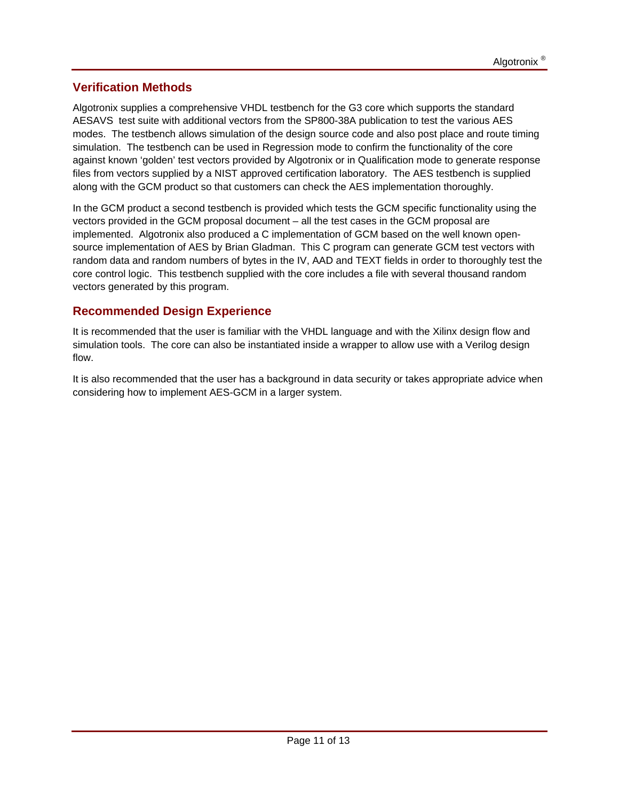## **Verification Methods**

Algotronix supplies a comprehensive VHDL testbench for the G3 core which supports the standard AESAVS test suite with additional vectors from the SP800-38A publication to test the various AES modes. The testbench allows simulation of the design source code and also post place and route timing simulation. The testbench can be used in Regression mode to confirm the functionality of the core against known 'golden' test vectors provided by Algotronix or in Qualification mode to generate response files from vectors supplied by a NIST approved certification laboratory. The AES testbench is supplied along with the GCM product so that customers can check the AES implementation thoroughly.

In the GCM product a second testbench is provided which tests the GCM specific functionality using the vectors provided in the GCM proposal document – all the test cases in the GCM proposal are implemented. Algotronix also produced a C implementation of GCM based on the well known opensource implementation of AES by Brian Gladman. This C program can generate GCM test vectors with random data and random numbers of bytes in the IV, AAD and TEXT fields in order to thoroughly test the core control logic. This testbench supplied with the core includes a file with several thousand random vectors generated by this program.

## **Recommended Design Experience**

It is recommended that the user is familiar with the VHDL language and with the Xilinx design flow and simulation tools. The core can also be instantiated inside a wrapper to allow use with a Verilog design flow.

It is also recommended that the user has a background in data security or takes appropriate advice when considering how to implement AES-GCM in a larger system.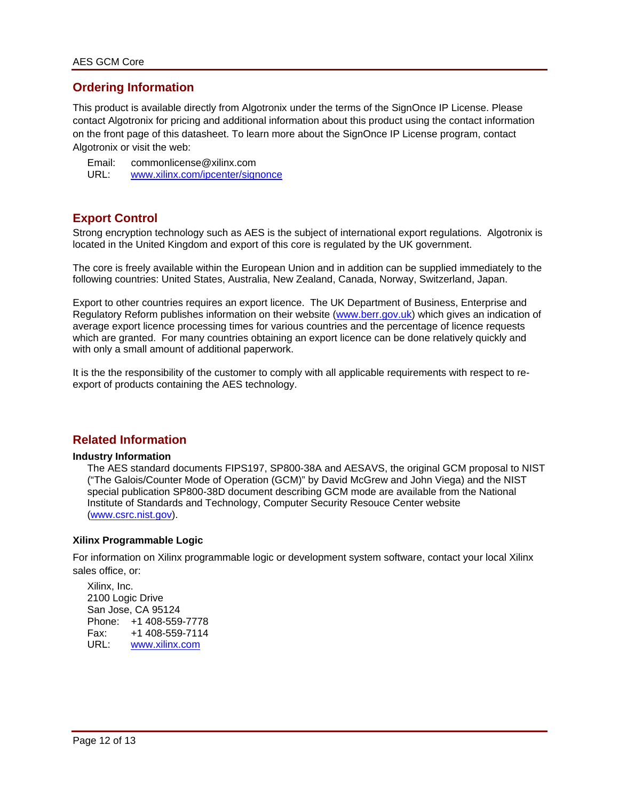### **Ordering Information**

This product is available directly from Algotronix under the terms of the SignOnce IP License. Please contact Algotronix for pricing and additional information about this product using the contact information on the front page of this datasheet. To learn more about the SignOnce IP License program, contact Algotronix or visit the web:

Email: commonlicense@xilinx.com URL: www.xilinx.com/ipcenter/signonce

### **Export Control**

Strong encryption technology such as AES is the subject of international export regulations. Algotronix is located in the United Kingdom and export of this core is regulated by the UK government.

The core is freely available within the European Union and in addition can be supplied immediately to the following countries: United States, Australia, New Zealand, Canada, Norway, Switzerland, Japan.

Export to other countries requires an export licence. The UK Department of Business, Enterprise and Regulatory Reform publishes information on their website (www.berr.gov.uk) which gives an indication of average export licence processing times for various countries and the percentage of licence requests which are granted. For many countries obtaining an export licence can be done relatively quickly and with only a small amount of additional paperwork.

It is the the responsibility of the customer to comply with all applicable requirements with respect to reexport of products containing the AES technology.

### **Related Information**

#### **Industry Information**

The AES standard documents FIPS197, SP800-38A and AESAVS, the original GCM proposal to NIST ("The Galois/Counter Mode of Operation (GCM)" by David McGrew and John Viega) and the NIST special publication SP800-38D document describing GCM mode are available from the National Institute of Standards and Technology, Computer Security Resouce Center website (www.csrc.nist.gov).

#### **Xilinx Programmable Logic**

For information on Xilinx programmable logic or development system software, contact your local Xilinx sales office, or:

Xilinx, Inc. 2100 Logic Drive San Jose, CA 95124 Phone: +1 408-559-7778 Fax: +1 408-559-7114 URL: www.xilinx.com